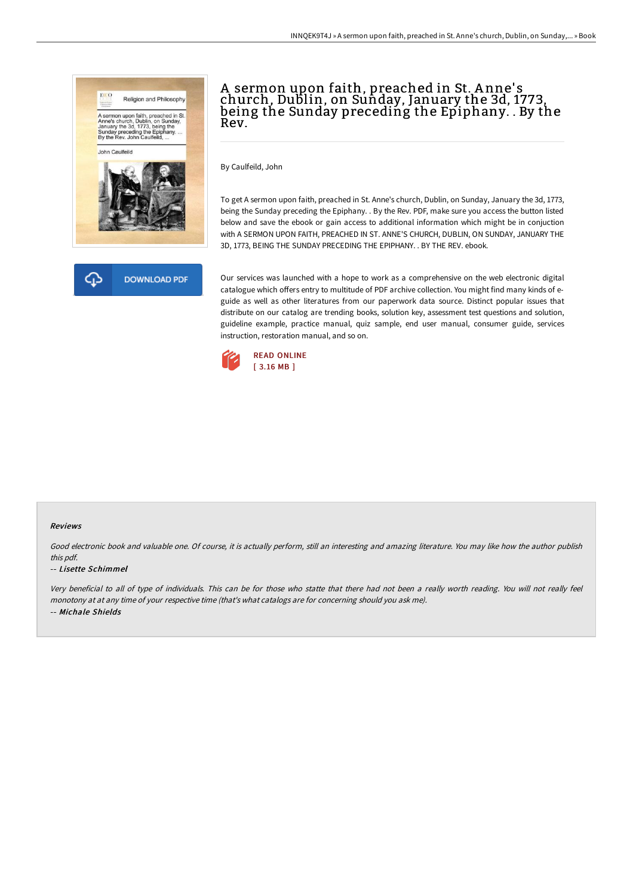



# A sermon upon faith, preached in St. A nne' s church, Dublin, on Sunday, January the 3d, 1773, being the Sunday preceding the Epiphany. . By the Rev.

By Caulfeild, John

To get A sermon upon faith, preached in St. Anne's church, Dublin, on Sunday, January the 3d, 1773, being the Sunday preceding the Epiphany. . By the Rev. PDF, make sure you access the button listed below and save the ebook or gain access to additional information which might be in conjuction with A SERMON UPON FAITH, PREACHED IN ST. ANNE'S CHURCH, DUBLIN, ON SUNDAY, JANUARY THE 3D, 1773, BEING THE SUNDAY PRECEDING THE EPIPHANY. . BY THE REV. ebook.

Our services was launched with a hope to work as a comprehensive on the web electronic digital catalogue which offers entry to multitude of PDF archive collection. You might find many kinds of eguide as well as other literatures from our paperwork data source. Distinct popular issues that distribute on our catalog are trending books, solution key, assessment test questions and solution, guideline example, practice manual, quiz sample, end user manual, consumer guide, services instruction, restoration manual, and so on.



### Reviews

Good electronic book and valuable one. Of course, it is actually perform, still an interesting and amazing literature. You may like how the author publish this pdf.

### -- Lisette Schimmel

Very beneficial to all of type of individuals. This can be for those who statte that there had not been <sup>a</sup> really worth reading. You will not really feel monotony at at any time of your respective time (that's what catalogs are for concerning should you ask me). -- Michale Shields